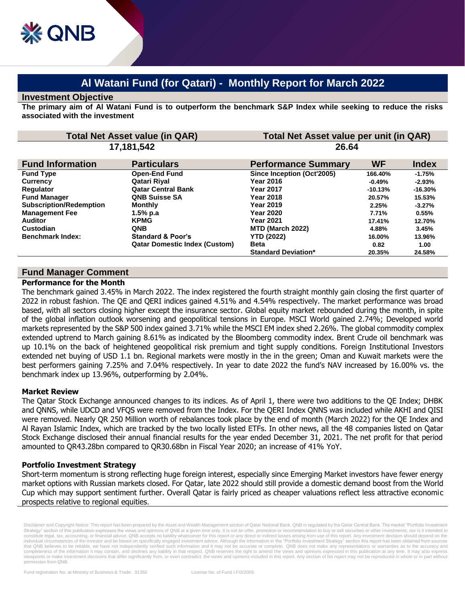# **Al Watani Fund (for Qatari) - Monthly Report for March 2022**

#### **Investment Objective**

**The primary aim of Al Watani Fund is to outperform the benchmark S&P Index while seeking to reduce the risks associated with the investment**

| <b>Total Net Asset value (in QAR)</b> |                                      | Total Net Asset value per unit (in QAR) |           |              |
|---------------------------------------|--------------------------------------|-----------------------------------------|-----------|--------------|
| 17,181,542                            |                                      | 26.64                                   |           |              |
| <b>Fund Information</b>               | <b>Particulars</b>                   | <b>Performance Summary</b>              | <b>WF</b> | <b>Index</b> |
| <b>Fund Type</b>                      | <b>Open-End Fund</b>                 | Since Inception (Oct'2005)              | 166.40%   | $-1.75%$     |
| <b>Currency</b>                       | Qatari Riyal                         | <b>Year 2016</b>                        | $-0.49%$  | $-2.93%$     |
| <b>Requlator</b>                      | <b>Qatar Central Bank</b>            | <b>Year 2017</b>                        | $-10.13%$ | $-16.30%$    |
| <b>Fund Manager</b>                   | <b>QNB Suisse SA</b>                 | <b>Year 2018</b>                        | 20.57%    | 15.53%       |
| <b>Subscription/Redemption</b>        | <b>Monthly</b>                       | <b>Year 2019</b>                        | 2.25%     | $-3.27%$     |
| <b>Management Fee</b>                 | 1.5% p.a                             | <b>Year 2020</b>                        | 7.71%     | 0.55%        |
| <b>Auditor</b>                        | <b>KPMG</b>                          | <b>Year 2021</b>                        | 17.41%    | 12.70%       |
| Custodian                             | <b>QNB</b>                           | MTD (March 2022)                        | 4.88%     | 3.45%        |
| <b>Benchmark Index:</b>               | <b>Standard &amp; Poor's</b>         | <b>YTD (2022)</b>                       | 16.00%    | 13.96%       |
|                                       | <b>Qatar Domestic Index (Custom)</b> | <b>Beta</b>                             | 0.82      | 1.00         |
|                                       |                                      | <b>Standard Deviation*</b>              | 20.35%    | 24.58%       |

# **Fund Manager Comment**

#### **Performance for the Month**

The benchmark gained 3.45% in March 2022. The index registered the fourth straight monthly gain closing the first quarter of 2022 in robust fashion. The QE and QERI indices gained 4.51% and 4.54% respectively. The market performance was broad based, with all sectors closing higher except the insurance sector. Global equity market rebounded during the month, in spite of the global inflation outlook worsening and geopolitical tensions in Europe. MSCI World gained 2.74%; Developed world markets represented by the S&P 500 index gained 3.71% while the MSCI EM index shed 2.26%. The global commodity complex extended uptrend to March gaining 8.61% as indicated by the Bloomberg commodity index. Brent Crude oil benchmark was up 10.1% on the back of heightened geopolitical risk premium and tight supply conditions. Foreign Institutional Investors extended net buying of USD 1.1 bn. Regional markets were mostly in the in the green; Oman and Kuwait markets were the best performers gaining 7.25% and 7.04% respectively. In year to date 2022 the fund's NAV increased by 16.00% vs. the benchmark index up 13.96%, outperforming by 2.04%.

## **Market Review**

The Qatar Stock Exchange announced changes to its indices. As of April 1, there were two additions to the QE Index; DHBK and QNNS, while UDCD and VFQS were removed from the Index. For the QERI Index QNNS was included while AKHI and QISI were removed. Nearly QR 250 Million worth of rebalances took place by the end of month (March 2022) for the QE Index and Al Rayan Islamic Index, which are tracked by the two locally listed ETFs. In other news, all the 48 companies listed on Qatar Stock Exchange disclosed their annual financial results for the year ended December 31, 2021. The net profit for that period amounted to QR43.28bn compared to QR30.68bn in Fiscal Year 2020; an increase of 41% YoY.

## **Portfolio Investment Strategy**

Short-term momentum is strong reflecting huge foreign interest, especially since Emerging Market investors have fewer energy market options with Russian markets closed. For Qatar, late 2022 should still provide a domestic demand boost from the World Cup which may support sentiment further. Overall Qatar is fairly priced as cheaper valuations reflect less attractive economic prospects relative to regional equities.

Disclaimer and Copyright Notice: This report has been prepared by the Asset and Wealth Management section of Qatar National Bank. QNB is regulated by the Qatar Central Bank. The market "Portfolio Investment Strategy" section of this publication expresses the views and opinions of QNB at a given time only. It is not an offer, promotion or recommendation to buy or sell securities or other investments, nor is it intended to<br>cons individual circumstances of the investor and be based on specifically engaged investment advice. Although the information in the "Portfolio Investment Strategy" section this report has been obtained from sources that QNB believes to be reliable, we have not independently verified such information and it may not be accurate or complete. QNB does not make any representations or warranties as to the accuracy and completeness of the information it may contain, and declines any liability in that respect. QNB reserves the right to amend the views and opinions expressed in this publication at any time. It may also express viewpoints or make investment decisions that differ significantly from, or even contradict, the views and opinions included in this report. Any section of his report may not be reproduced in whole or in part without permission from QNB.